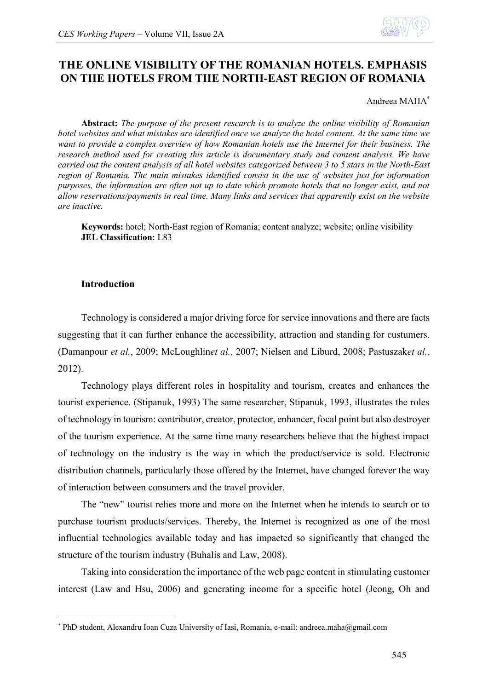

# **THE ONLINE VISIBILITY OF THE ROMANIAN HOTELS. EMPHASIS ON THE HOTELS FROM THE NORTH-EAST REGION OF ROMANIA**

Andreea MAHA\*

**Abstract:** *The purpose of the present research is to analyze the online visibility of Romanian hotel websites and what mistakes are identified once we analyze the hotel content. At the same time we want to provide a complex overview of how Romanian hotels use the Internet for their business. The research method used for creating this article is documentary study and content analysis. We have carried out the content analysis of all hotel websites categorized between 3 to 5 stars in the North-East region of Romania. The main mistakes identified consist in the use of websites just for information purposes, the information are often not up to date which promote hotels that no longer exist, and not allow reservations/payments in real time. Many links and services that apparently exist on the website are inactive.*

**Keywords:** hotel; North-East region of Romania; content analyze; website; online visibility **JEL Classification:** L83

# **Introduction**

1

Technology is considered a major driving force for service innovations and there are facts suggesting that it can further enhance the accessibility, attraction and standing for custumers. (Damanpour *et al.*, 2009; McLoughlin*et al.*, 2007; Nielsen and Liburd, 2008; Pastuszak*et al.*, 2012).

Technology plays different roles in hospitality and tourism, creates and enhances the tourist experience. (Stipanuk, 1993) The same researcher, Stipanuk, 1993, illustrates the roles of technology in tourism: contributor, creator, protector, enhancer, focal point but also destroyer of the tourism experience. At the same time many researchers believe that the highest impact of technology on the industry is the way in which the product/service is sold. Electronic distribution channels, particularly those offered by the Internet, have changed forever the way of interaction between consumers and the travel provider.

The "new" tourist relies more and more on the Internet when he intends to search or to purchase tourism products/services. Thereby, the Internet is recognized as one of the most influential technologies available today and has impacted so significantly that changed the structure of the tourism industry (Buhalis and Law, 2008).

Taking into consideration the importance of the web page content in stimulating customer interest (Law and Hsu, 2006) and generating income for a specific hotel (Jeong, Oh and

<sup>\*</sup> PhD student, Alexandru Ioan Cuza University of Iasi, Romania, e-mail: andreea.maha@gmail.com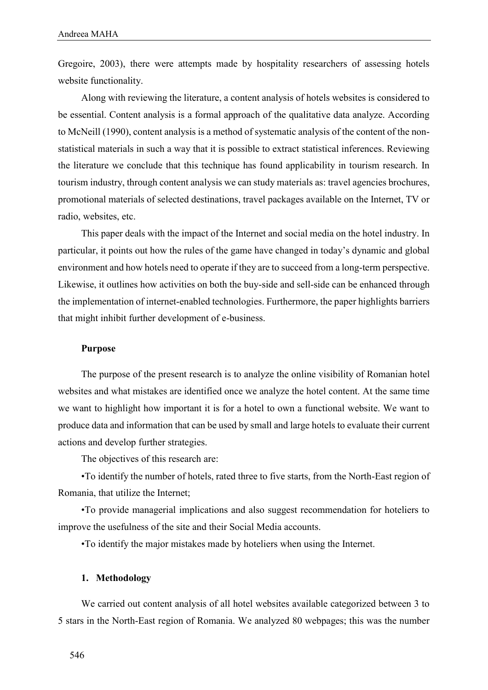Gregoire, 2003), there were attempts made by hospitality researchers of assessing hotels website functionality.

Along with reviewing the literature, a content analysis of hotels websites is considered to be essential. Content analysis is a formal approach of the qualitative data analyze. According to McNeill (1990), content analysis is a method of systematic analysis of the content of the nonstatistical materials in such a way that it is possible to extract statistical inferences. Reviewing the literature we conclude that this technique has found applicability in tourism research. In tourism industry, through content analysis we can study materials as: travel agencies brochures, promotional materials of selected destinations, travel packages available on the Internet, TV or radio, websites, etc.

This paper deals with the impact of the Internet and social media on the hotel industry. In particular, it points out how the rules of the game have changed in today's dynamic and global environment and how hotels need to operate if they are to succeed from a long-term perspective. Likewise, it outlines how activities on both the buy-side and sell-side can be enhanced through the implementation of internet-enabled technologies. Furthermore, the paper highlights barriers that might inhibit further development of e-business.

## **Purpose**

The purpose of the present research is to analyze the online visibility of Romanian hotel websites and what mistakes are identified once we analyze the hotel content. At the same time we want to highlight how important it is for a hotel to own a functional website. We want to produce data and information that can be used by small and large hotels to evaluate their current actions and develop further strategies.

The objectives of this research are:

•To identify the number of hotels, rated three to five starts, from the North-East region of Romania, that utilize the Internet;

•To provide managerial implications and also suggest recommendation for hoteliers to improve the usefulness of the site and their Social Media accounts.

•To identify the major mistakes made by hoteliers when using the Internet.

# **1. Methodology**

We carried out content analysis of all hotel websites available categorized between 3 to 5 stars in the North-East region of Romania. We analyzed 80 webpages; this was the number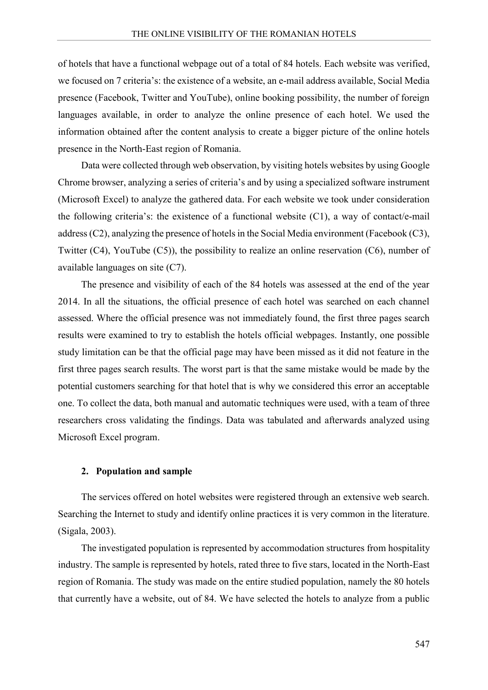of hotels that have a functional webpage out of a total of 84 hotels. Each website was verified, we focused on 7 criteria's: the existence of a website, an e-mail address available, Social Media presence (Facebook, Twitter and YouTube), online booking possibility, the number of foreign languages available, in order to analyze the online presence of each hotel. We used the information obtained after the content analysis to create a bigger picture of the online hotels presence in the North-East region of Romania.

Data were collected through web observation, by visiting hotels websites by using Google Chrome browser, analyzing a series of criteria's and by using a specialized software instrument (Microsoft Excel) to analyze the gathered data. For each website we took under consideration the following criteria's: the existence of a functional website  $(C1)$ , a way of contact/e-mail address (C2), analyzing the presence of hotels in the Social Media environment (Facebook (C3), Twitter (C4), YouTube (C5)), the possibility to realize an online reservation (C6), number of available languages on site (C7).

The presence and visibility of each of the 84 hotels was assessed at the end of the year 2014. In all the situations, the official presence of each hotel was searched on each channel assessed. Where the official presence was not immediately found, the first three pages search results were examined to try to establish the hotels official webpages. Instantly, one possible study limitation can be that the official page may have been missed as it did not feature in the first three pages search results. The worst part is that the same mistake would be made by the potential customers searching for that hotel that is why we considered this error an acceptable one. To collect the data, both manual and automatic techniques were used, with a team of three researchers cross validating the findings. Data was tabulated and afterwards analyzed using Microsoft Excel program.

## **2. Population and sample**

The services offered on hotel websites were registered through an extensive web search. Searching the Internet to study and identify online practices it is very common in the literature. (Sigala, 2003).

The investigated population is represented by accommodation structures from hospitality industry. The sample is represented by hotels, rated three to five stars, located in the North-East region of Romania. The study was made on the entire studied population, namely the 80 hotels that currently have a website, out of 84. We have selected the hotels to analyze from a public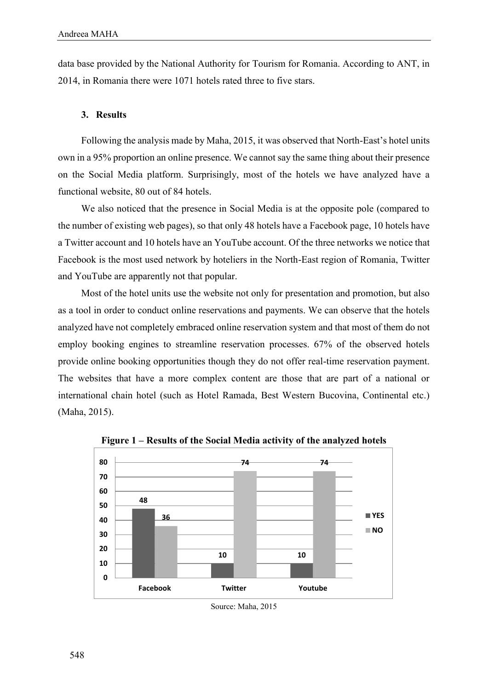data base provided by the National Authority for Tourism for Romania. According to ANT, in 2014, in Romania there were 1071 hotels rated three to five stars.

#### **3. Results**

Following the analysis made by Maha, 2015, it was observed that North-East's hotel units own in a 95% proportion an online presence. We cannot say the same thing about their presence on the Social Media platform. Surprisingly, most of the hotels we have analyzed have a functional website, 80 out of 84 hotels.

We also noticed that the presence in Social Media is at the opposite pole (compared to the number of existing web pages), so that only 48 hotels have a Facebook page, 10 hotels have a Twitter account and 10 hotels have an YouTube account. Of the three networks we notice that Facebook is the most used network by hoteliers in the North-East region of Romania, Twitter and YouTube are apparently not that popular.

Most of the hotel units use the website not only for presentation and promotion, but also as a tool in order to conduct online reservations and payments. We can observe that the hotels analyzed have not completely embraced online reservation system and that most of them do not employ booking engines to streamline reservation processes. 67% of the observed hotels provide online booking opportunities though they do not offer real-time reservation payment. The websites that have a more complex content are those that are part of a national or international chain hotel (such as Hotel Ramada, Best Western Bucovina, Continental etc.) (Maha, 2015).



**Figure 1 – Results of the Social Media activity of the analyzed hotels**

Source: Maha, 2015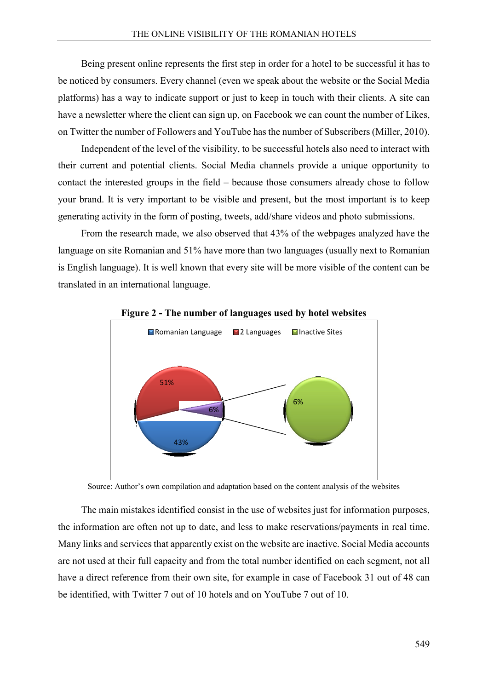Being present online represents the first step in order for a hotel to be successful it has to be noticed by consumers. Every channel (even we speak about the website or the Social Media platforms) has a way to indicate support or just to keep in touch with their clients. A site can have a newsletter where the client can sign up, on Facebook we can count the number of Likes, on Twitter the number of Followers and YouTube has the number of Subscribers (Miller, 2010).

Independent of the level of the visibility, to be successful hotels also need to interact with their current and potential clients. Social Media channels provide a unique opportunity to contact the interested groups in the field – because those consumers already chose to follow your brand. It is very important to be visible and present, but the most important is to keep generating activity in the form of posting, tweets, add/share videos and photo submissions.

From the research made, we also observed that 43% of the webpages analyzed have the language on site Romanian and 51% have more than two languages (usually next to Romanian is English language). It is well known that every site will be more visible of the content can be translated in an international language.



**Figure 2 - The number of languages used by hotel websites**

Source: Author's own compilation and adaptation based on the content analysis of the websites

The main mistakes identified consist in the use of websites just for information purposes, the information are often not up to date, and less to make reservations/payments in real time. Many links and services that apparently exist on the website are inactive. Social Media accounts are not used at their full capacity and from the total number identified on each segment, not all have a direct reference from their own site, for example in case of Facebook 31 out of 48 can be identified, with Twitter 7 out of 10 hotels and on YouTube 7 out of 10.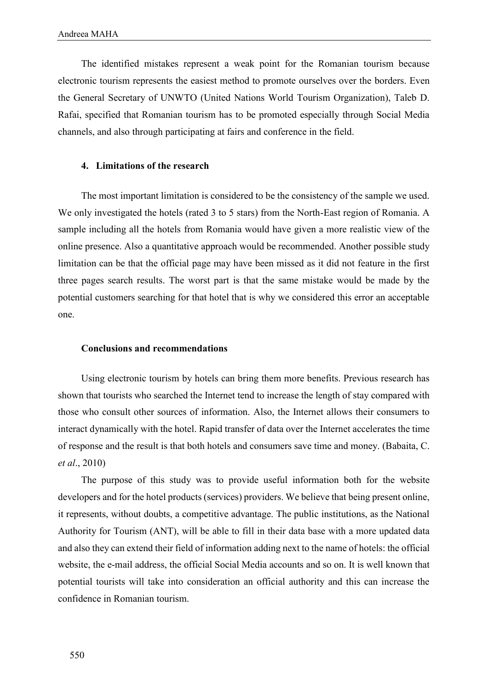The identified mistakes represent a weak point for the Romanian tourism because electronic tourism represents the easiest method to promote ourselves over the borders. Even the General Secretary of UNWTO (United Nations World Tourism Organization), Taleb D. Rafai, specified that Romanian tourism has to be promoted especially through Social Media channels, and also through participating at fairs and conference in the field.

# **4. Limitations of the research**

The most important limitation is considered to be the consistency of the sample we used. We only investigated the hotels (rated 3 to 5 stars) from the North-East region of Romania. A sample including all the hotels from Romania would have given a more realistic view of the online presence. Also a quantitative approach would be recommended. Another possible study limitation can be that the official page may have been missed as it did not feature in the first three pages search results. The worst part is that the same mistake would be made by the potential customers searching for that hotel that is why we considered this error an acceptable one.

# **Conclusions and recommendations**

Using electronic tourism by hotels can bring them more benefits. Previous research has shown that tourists who searched the Internet tend to increase the length of stay compared with those who consult other sources of information. Also, the Internet allows their consumers to interact dynamically with the hotel. Rapid transfer of data over the Internet accelerates the time of response and the result is that both hotels and consumers save time and money. (Babaita, C. *et al*., 2010)

The purpose of this study was to provide useful information both for the website developers and for the hotel products (services) providers. We believe that being present online, it represents, without doubts, a competitive advantage. The public institutions, as the National Authority for Tourism (ANT), will be able to fill in their data base with a more updated data and also they can extend their field of information adding next to the name of hotels: the official website, the e-mail address, the official Social Media accounts and so on. It is well known that potential tourists will take into consideration an official authority and this can increase the confidence in Romanian tourism.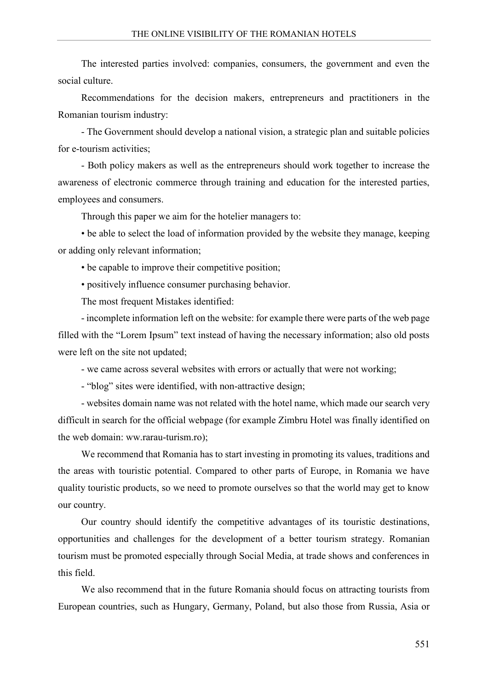The interested parties involved: companies, consumers, the government and even the social culture.

Recommendations for the decision makers, entrepreneurs and practitioners in the Romanian tourism industry:

- The Government should develop a national vision, a strategic plan and suitable policies for e-tourism activities;

- Both policy makers as well as the entrepreneurs should work together to increase the awareness of electronic commerce through training and education for the interested parties, employees and consumers.

Through this paper we aim for the hotelier managers to:

• be able to select the load of information provided by the website they manage, keeping or adding only relevant information;

• be capable to improve their competitive position;

• positively influence consumer purchasing behavior.

The most frequent Mistakes identified:

- incomplete information left on the website: for example there were parts of the web page filled with the "Lorem Ipsum" text instead of having the necessary information; also old posts were left on the site not updated;

- we came across several websites with errors or actually that were not working;

- "blog" sites were identified, with non-attractive design;

- websites domain name was not related with the hotel name, which made our search very difficult in search for the official webpage (for example Zimbru Hotel was finally identified on the web domain: ww.rarau-turism.ro);

We recommend that Romania has to start investing in promoting its values, traditions and the areas with touristic potential. Compared to other parts of Europe, in Romania we have quality touristic products, so we need to promote ourselves so that the world may get to know our country.

Our country should identify the competitive advantages of its touristic destinations, opportunities and challenges for the development of a better tourism strategy. Romanian tourism must be promoted especially through Social Media, at trade shows and conferences in this field.

We also recommend that in the future Romania should focus on attracting tourists from European countries, such as Hungary, Germany, Poland, but also those from Russia, Asia or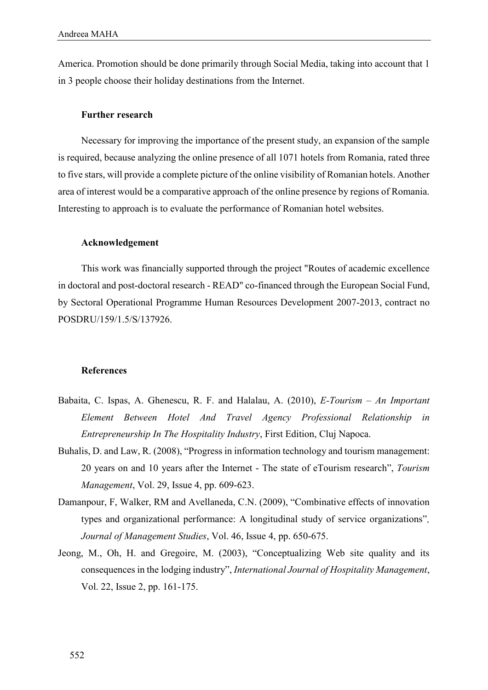America. Promotion should be done primarily through Social Media, taking into account that 1 in 3 people choose their holiday destinations from the Internet.

### **Further research**

Necessary for improving the importance of the present study, an expansion of the sample is required, because analyzing the online presence of all 1071 hotels from Romania, rated three to five stars, will provide a complete picture of the online visibility of Romanian hotels. Another area of interest would be a comparative approach of the online presence by regions of Romania. Interesting to approach is to evaluate the performance of Romanian hotel websites.

#### **Acknowledgement**

This work was financially supported through the project "Routes of academic excellence in doctoral and post-doctoral research - READ" co-financed through the European Social Fund, by Sectoral Operational Programme Human Resources Development 2007-2013, contract no POSDRU/159/1.5/S/137926.

#### **References**

- Babaita, C. Ispas, A. Ghenescu, R. F. and Halalau, A. (2010), *E-Tourism – An Important Element Between Hotel And Travel Agency Professional Relationship in Entrepreneurship In The Hospitality Industry*, First Edition, Cluj Napoca.
- Buhalis, D. and Law, R. (2008), "Progress in information technology and tourism management: 20 years on and 10 years after the Internet - The state of eTourism research", *Tourism Management*, Vol. 29, Issue 4, pp. 609-623.
- Damanpour, F, Walker, RM and Avellaneda, C.N. (2009), "Combinative effects of innovation types and organizational performance: A longitudinal study of service organizations"*, Journal of Management Studies*, Vol. 46, Issue 4, pp. 650-675.
- Jeong, M., Oh, H. and Gregoire, M. (2003), "Conceptualizing Web site quality and its consequences in the lodging industry", *International Journal of Hospitality Management*, Vol. 22, Issue 2, pp. 161-175.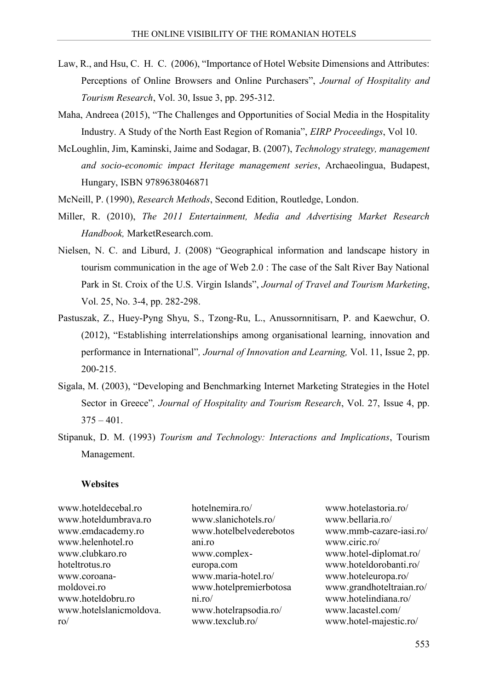- Law, R., and Hsu, C. H. C. (2006), "Importance of Hotel Website Dimensions and Attributes: Perceptions of Online Browsers and Online Purchasers", *Journal of Hospitality and Tourism Research*, Vol. 30, Issue 3, pp. 295-312.
- Maha, Andreea (2015), "The Challenges and Opportunities of Social Media in the Hospitality Industry. A Study of the North East Region of Romania", *EIRP Proceedings*, Vol 10.
- McLoughlin, Jim, Kaminski, Jaime and Sodagar, B. (2007), *Technology strategy, management and socio-economic impact Heritage management series*, Archaeolingua, Budapest, Hungary, ISBN 9789638046871
- McNeill, P. (1990), *Research Methods*, Second Edition, Routledge, London.
- Miller, R. (2010), *The 2011 Entertainment, Media and Advertising Market Research Handbook,* MarketResearch.com.
- Nielsen, N. C. and Liburd, J. (2008) "Geographical information and landscape history in tourism communication in the age of Web 2.0 : The case of the Salt River Bay National Park in St. Croix of the U.S. Virgin Islands", *Journal of Travel and Tourism Marketing*, Vol. 25, No. 3-4, pp. 282-298.
- Pastuszak, Z., Huey-Pyng Shyu, S., Tzong-Ru, L., Anussornnitisarn, P. and Kaewchur, O. (2012), "Establishing interrelationships among organisational learning, innovation and performance in International"*, Journal of Innovation and Learning,* Vol. 11, Issue 2, pp. 200-215.
- Sigala, M. (2003), "Developing and Benchmarking Internet Marketing Strategies in the Hotel Sector in Greece"*, Journal of Hospitality and Tourism Research*, Vol. 27, Issue 4, pp.  $375 - 401$ .
- Stipanuk, D. M. (1993) *Tourism and Technology: Interactions and Implications*, Tourism Management.

#### **Websites**

www.hoteldecebal.ro www.hoteldumbrava.ro www.emdacademy.ro www.helenhotel.ro www.clubkaro.ro hoteltrotus ro www.coroanamoldovei.ro www.hoteldobru.ro www.hotelslanicmoldova. ro/

hotelnemira.ro/ www.slanichotels.ro/ www.hotelbelvederebotos ani.ro www.complexeuropa.com www.maria-hotel.ro/ www.hotelpremierbotosa ni.ro/ www.hotelrapsodia.ro/ www.texclub.ro/

www.hotelastoria.ro/ www.bellaria.ro/ www.mmb-cazare-iasi.ro/ www.ciric.ro/ www.hotel-diplomat.ro/ www.hoteldorobanti.ro/ www.hoteleuropa.ro/ www.grandhoteltraian.ro/ www.hotelindiana.ro/ www.lacastel.com/ www.hotel-majestic.ro/